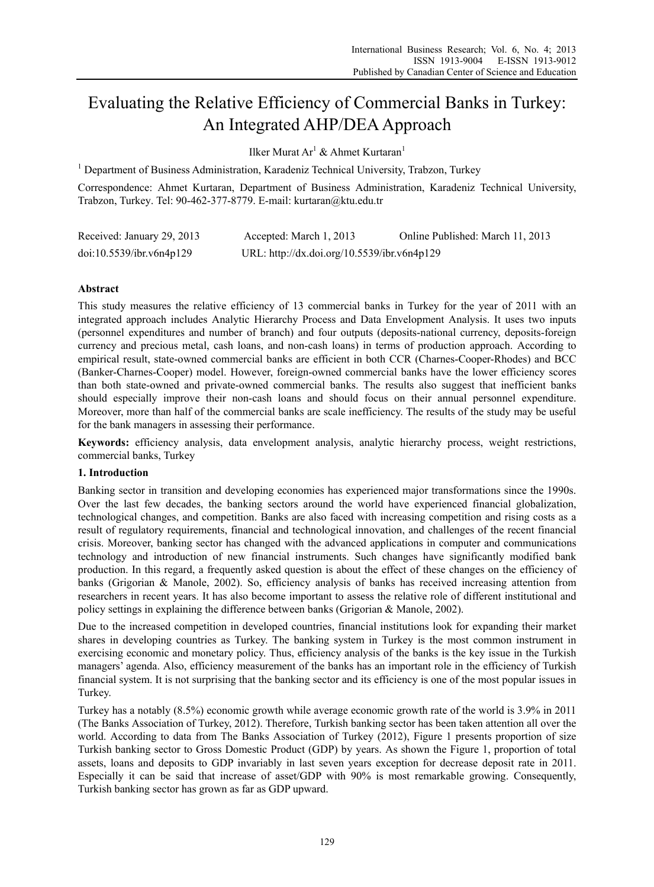# Evaluating the Relative Efficiency of Commercial Banks in Turkey: An Integrated AHP/DEA Approach

Ilker Murat Ar<sup>1</sup> & Ahmet Kurtaran<sup>1</sup>

<sup>1</sup> Department of Business Administration, Karadeniz Technical University, Trabzon, Turkey

Correspondence: Ahmet Kurtaran, Department of Business Administration, Karadeniz Technical University, Trabzon, Turkey. Tel: 90-462-377-8779. E-mail: kurtaran@ktu.edu.tr

| Received: January 29, 2013 | Accepted: March 1, 2013                     | Online Published: March 11, 2013 |
|----------------------------|---------------------------------------------|----------------------------------|
| doi:10.5539/ibr.v6n4p129   | URL: http://dx.doi.org/10.5539/ibr.v6n4p129 |                                  |

# **Abstract**

This study measures the relative efficiency of 13 commercial banks in Turkey for the year of 2011 with an integrated approach includes Analytic Hierarchy Process and Data Envelopment Analysis. It uses two inputs (personnel expenditures and number of branch) and four outputs (deposits-national currency, deposits-foreign currency and precious metal, cash loans, and non-cash loans) in terms of production approach. According to empirical result, state-owned commercial banks are efficient in both CCR (Charnes-Cooper-Rhodes) and BCC (Banker-Charnes-Cooper) model. However, foreign-owned commercial banks have the lower efficiency scores than both state-owned and private-owned commercial banks. The results also suggest that inefficient banks should especially improve their non-cash loans and should focus on their annual personnel expenditure. Moreover, more than half of the commercial banks are scale inefficiency. The results of the study may be useful for the bank managers in assessing their performance.

**Keywords:** efficiency analysis, data envelopment analysis, analytic hierarchy process, weight restrictions, commercial banks, Turkey

## **1. Introduction**

Banking sector in transition and developing economies has experienced major transformations since the 1990s. Over the last few decades, the banking sectors around the world have experienced financial globalization, technological changes, and competition. Banks are also faced with increasing competition and rising costs as a result of regulatory requirements, financial and technological innovation, and challenges of the recent financial crisis. Moreover, banking sector has changed with the advanced applications in computer and communications technology and introduction of new financial instruments. Such changes have significantly modified bank production. In this regard, a frequently asked question is about the effect of these changes on the efficiency of banks (Grigorian & Manole, 2002). So, efficiency analysis of banks has received increasing attention from researchers in recent years. It has also become important to assess the relative role of different institutional and policy settings in explaining the difference between banks (Grigorian & Manole, 2002).

Due to the increased competition in developed countries, financial institutions look for expanding their market shares in developing countries as Turkey. The banking system in Turkey is the most common instrument in exercising economic and monetary policy. Thus, efficiency analysis of the banks is the key issue in the Turkish managers' agenda. Also, efficiency measurement of the banks has an important role in the efficiency of Turkish financial system. It is not surprising that the banking sector and its efficiency is one of the most popular issues in Turkey.

Turkey has a notably (8.5%) economic growth while average economic growth rate of the world is 3.9% in 2011 (The Banks Association of Turkey, 2012). Therefore, Turkish banking sector has been taken attention all over the world. According to data from The Banks Association of Turkey (2012), Figure 1 presents proportion of size Turkish banking sector to Gross Domestic Product (GDP) by years. As shown the Figure 1, proportion of total assets, loans and deposits to GDP invariably in last seven years exception for decrease deposit rate in 2011. Especially it can be said that increase of asset/GDP with 90% is most remarkable growing. Consequently, Turkish banking sector has grown as far as GDP upward.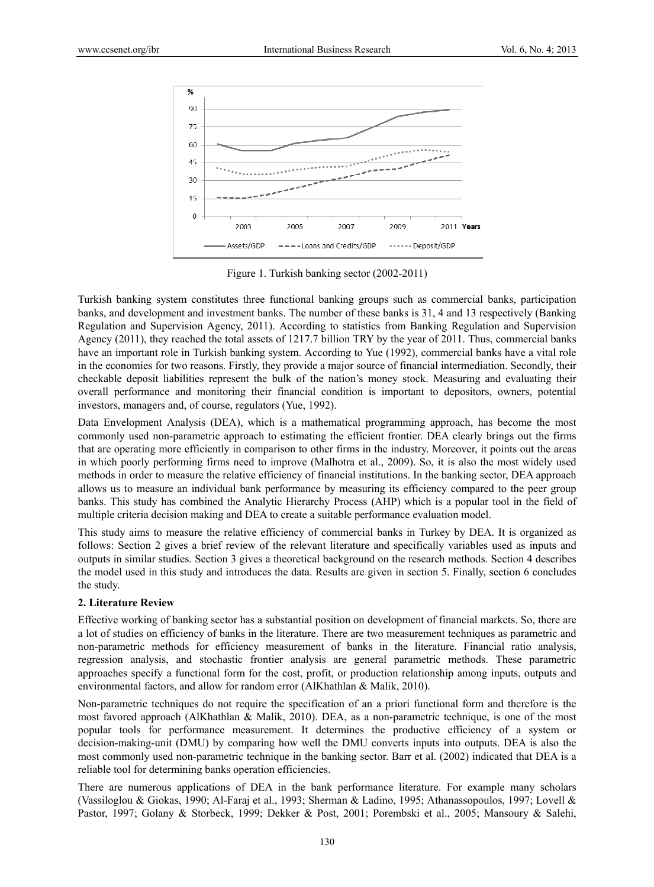

Figure 1. Turkish banking sector (2002-2011)

Turkish banking system constitutes three functional banking groups such as commercial banks, participation banks, and development and investment banks. The number of these banks is 31, 4 and 13 respectively (Banking Regulation and Supervision Agency, 2011). According to statistics from Banking Regulation and Supervision Agency (2011), they reached the total assets of 1217.7 billion TRY by the year of 2011. Thus, commercial banks have an important role in Turkish banking system. According to Yue (1992), commercial banks have a vital role in the economies for two reasons. Firstly, they provide a major source of financial intermediation. Secondly, their checkable deposit liabilities represent the bulk of the nation's money stock. Measuring and evaluating their overall performance and monitoring their financial condition is important to depositors, owners, potential investors, managers and, of course, regulators (Yue, 1992).

Data Envelopment Analysis (DEA), which is a mathematical programming approach, has become the most commonly used non-parametric approach to estimating the efficient frontier. DEA clearly brings out the firms that are operating more efficiently in comparison to other firms in the industry. Moreover, it points out the areas in which poorly performing firms need to improve (Malhotra et al., 2009). So, it is also the most widely used methods in order to measure the relative efficiency of financial institutions. In the banking sector, DEA approach allows us to measure an individual bank performance by measuring its efficiency compared to the peer group banks. This study has combined the Analytic Hierarchy Process (AHP) which is a popular tool in the field of multiple criteria decision making and DEA to create a suitable performance evaluation model.

This study aims to measure the relative efficiency of commercial banks in Turkey by DEA. It is organized as follows: Section 2 gives a brief review of the relevant literature and specifically variables used as inputs and outputs in similar studies. Section 3 gives a theoretical background on the research methods. Section 4 describes the model used in this study and introduces the data. Results are given in section 5. Finally, section 6 concludes the study.

#### 2. Literature Review

Effective working of banking sector has a substantial position on development of financial markets. So, there are a lot of studies on efficiency of banks in the literature. There are two measurement techniques as parametric and non-parametric methods for efficiency measurement of banks in the literature. Financial ratio analysis, regression analysis, and stochastic frontier analysis are general parametric methods. These parametric approaches specify a functional form for the cost, profit, or production relationship among inputs, outputs and environmental factors, and allow for random error (AlKhathlan & Malik, 2010).

Non-parametric techniques do not require the specification of an a priori functional form and therefore is the most favored approach (AlKhathlan & Malik, 2010). DEA, as a non-parametric technique, is one of the most popular tools for performance measurement. It determines the productive efficiency of a system or decision-making-unit (DMU) by comparing how well the DMU converts inputs into outputs. DEA is also the most commonly used non-parametric technique in the banking sector. Barr et al. (2002) indicated that DEA is a reliable tool for determining banks operation efficiencies.

There are numerous applications of DEA in the bank performance literature. For example many scholars (Vassiloglou & Giokas, 1990; Al-Faraj et al., 1993; Sherman & Ladino, 1995; Athanassopoulos, 1997; Lovell & Pastor, 1997; Golany & Storbeck, 1999; Dekker & Post, 2001; Porembski et al., 2005; Mansoury & Salehi,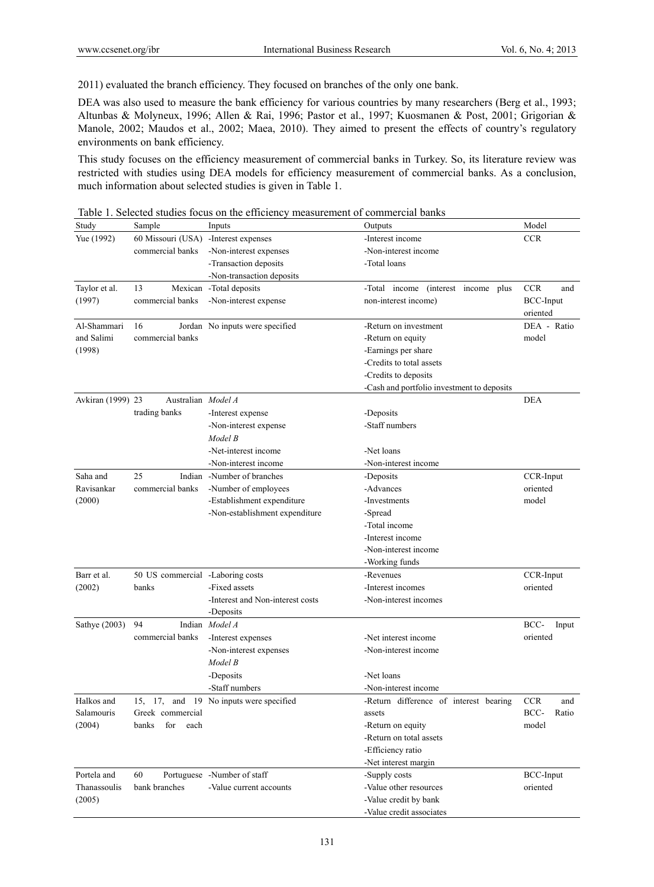2011) evaluated the branch efficiency. They focused on branches of the only one bank.

DEA was also used to measure the bank efficiency for various countries by many researchers (Berg et al., 1993; Altunbas & Molyneux, 1996; Allen & Rai, 1996; Pastor et al., 1997; Kuosmanen & Post, 2001; Grigorian & Manole, 2002; Maudos et al., 2002; Maea, 2010). They aimed to present the effects of country's regulatory environments on bank efficiency.

This study focuses on the efficiency measurement of commercial banks in Turkey. So, its literature review was restricted with studies using DEA models for efficiency measurement of commercial banks. As a conclusion, much information about selected studies is given in Table 1.

| Study             | Sample                           | Inputs                                  | Outputs                                    | Model             |  |  |
|-------------------|----------------------------------|-----------------------------------------|--------------------------------------------|-------------------|--|--|
| Yue (1992)        | 60 Missouri (USA)                | -Interest expenses                      | -Interest income                           | <b>CCR</b>        |  |  |
|                   | commercial banks                 | -Non-interest expenses                  | -Non-interest income                       |                   |  |  |
|                   |                                  | -Transaction deposits                   | -Total loans                               |                   |  |  |
|                   |                                  | -Non-transaction deposits               |                                            |                   |  |  |
| Taylor et al.     | 13                               | Mexican -Total deposits                 | -Total income (interest income plus        | <b>CCR</b><br>and |  |  |
| (1997)            | commercial banks                 | -Non-interest expense                   | non-interest income)                       | <b>BCC-Input</b>  |  |  |
|                   |                                  |                                         |                                            | oriented          |  |  |
| Al-Shammari       | 16                               | Jordan No inputs were specified         | -Return on investment                      | DEA - Ratio       |  |  |
| and Salimi        | commercial banks                 |                                         | -Return on equity                          | model             |  |  |
| (1998)            |                                  |                                         | -Earnings per share                        |                   |  |  |
|                   |                                  |                                         | -Credits to total assets                   |                   |  |  |
|                   |                                  |                                         | -Credits to deposits                       |                   |  |  |
|                   |                                  |                                         | -Cash and portfolio investment to deposits |                   |  |  |
| Avkiran (1999) 23 | Australian Model A               |                                         |                                            | DEA               |  |  |
|                   | trading banks                    | -Interest expense                       | -Deposits                                  |                   |  |  |
|                   |                                  | -Non-interest expense                   | -Staff numbers                             |                   |  |  |
|                   |                                  | Model B                                 |                                            |                   |  |  |
|                   |                                  | -Net-interest income                    | -Net loans                                 |                   |  |  |
|                   |                                  | -Non-interest income                    | -Non-interest income                       |                   |  |  |
| Saha and          | 25                               | Indian -Number of branches              | -Deposits                                  | CCR-Input         |  |  |
| Ravisankar        | commercial banks                 | -Number of employees<br>-Advances       |                                            |                   |  |  |
| (2000)            |                                  | -Establishment expenditure              | -Investments                               | model             |  |  |
|                   |                                  | -Non-establishment expenditure          | -Spread                                    |                   |  |  |
|                   |                                  |                                         | -Total income                              |                   |  |  |
|                   |                                  |                                         | -Interest income                           |                   |  |  |
|                   |                                  |                                         | -Non-interest income                       |                   |  |  |
|                   |                                  |                                         | -Working funds                             |                   |  |  |
| Barr et al.       | 50 US commercial -Laboring costs |                                         | -Revenues                                  | CCR-Input         |  |  |
| (2002)            | banks                            | -Fixed assets                           | -Interest incomes                          | oriented          |  |  |
|                   |                                  | -Interest and Non-interest costs        | -Non-interest incomes                      |                   |  |  |
|                   |                                  | -Deposits                               |                                            |                   |  |  |
| Sathye (2003)     | 94                               | Indian Model A                          |                                            | BCC-<br>Input     |  |  |
|                   | commercial banks                 | -Interest expenses                      | -Net interest income                       | oriented          |  |  |
|                   |                                  | -Non-interest expenses                  | -Non-interest income                       |                   |  |  |
|                   |                                  | Model B                                 |                                            |                   |  |  |
|                   |                                  | -Deposits                               | -Net loans                                 |                   |  |  |
|                   |                                  | -Staff numbers                          | -Non-interest income                       |                   |  |  |
| Halkos and        |                                  | 15, 17, and 19 No inputs were specified | -Return difference of interest bearing     | <b>CCR</b><br>and |  |  |
| Salamouris        | Greek commercial                 |                                         | assets                                     | BCC-<br>Ratio     |  |  |
| (2004)            | for each<br>banks                |                                         | -Return on equity                          | model             |  |  |
|                   |                                  |                                         | -Return on total assets                    |                   |  |  |
|                   |                                  |                                         | -Efficiency ratio                          |                   |  |  |
|                   |                                  |                                         | -Net interest margin                       |                   |  |  |
| Portela and       | 60                               | Portuguese -Number of staff             | -Supply costs                              | <b>BCC-Input</b>  |  |  |
| Thanassoulis      | bank branches                    | -Value current accounts                 | -Value other resources                     | oriented          |  |  |
| (2005)            |                                  |                                         | -Value credit by bank                      |                   |  |  |
|                   |                                  |                                         | -Value credit associates                   |                   |  |  |

Table 1. Selected studies focus on the efficiency measurement of commercial banks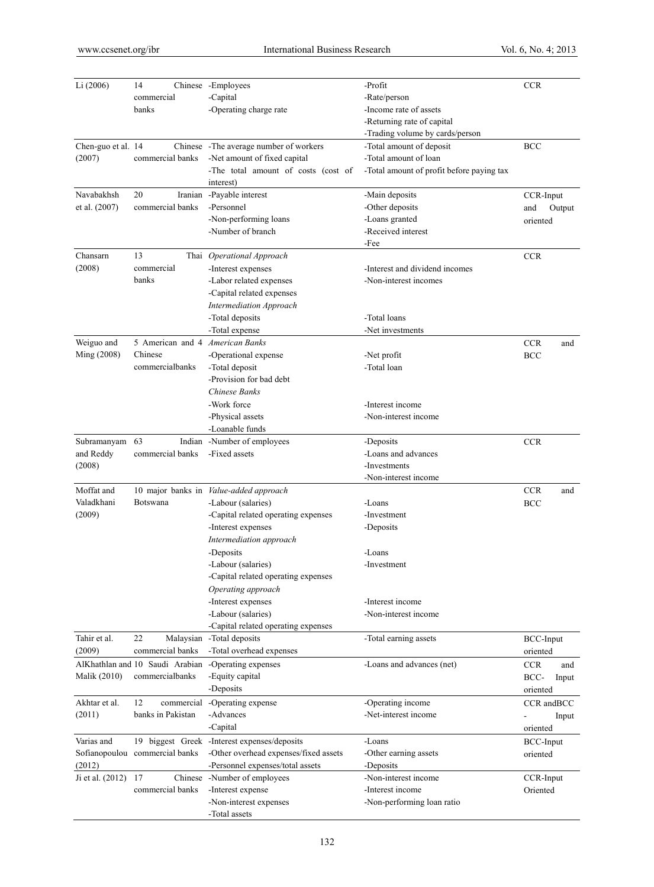| Li (2006)          | 14                              | Chinese -Employees                           | -Profit                                   | <b>CCR</b>        |
|--------------------|---------------------------------|----------------------------------------------|-------------------------------------------|-------------------|
|                    | commercial                      | -Capital                                     | -Rate/person                              |                   |
|                    | banks                           | -Operating charge rate                       | -Income rate of assets                    |                   |
|                    |                                 |                                              | -Returning rate of capital                |                   |
|                    |                                 |                                              | -Trading volume by cards/person           |                   |
| Chen-guo et al. 14 |                                 | Chinese -The average number of workers       | -Total amount of deposit                  | <b>BCC</b>        |
| (2007)             | commercial banks                | -Net amount of fixed capital                 | -Total amount of loan                     |                   |
|                    |                                 | -The total amount of costs (cost of          | -Total amount of profit before paying tax |                   |
|                    |                                 | interest)                                    |                                           |                   |
| Navabakhsh         | 20                              | Iranian -Payable interest                    | -Main deposits                            | CCR-Input         |
| et al. (2007)      | commercial banks                | -Personnel                                   | -Other deposits                           | and<br>Output     |
|                    |                                 | -Non-performing loans                        | -Loans granted                            | oriented          |
|                    |                                 | -Number of branch                            | -Received interest                        |                   |
|                    |                                 |                                              | -Fee                                      |                   |
| Chansarn           | 13                              | Thai Operational Approach                    |                                           | <b>CCR</b>        |
| (2008)             | commercial                      | -Interest expenses                           | -Interest and dividend incomes            |                   |
|                    | banks                           | -Labor related expenses                      | -Non-interest incomes                     |                   |
|                    |                                 | -Capital related expenses                    |                                           |                   |
|                    |                                 | <b>Intermediation Approach</b>               |                                           |                   |
|                    |                                 | -Total deposits                              | -Total loans                              |                   |
|                    |                                 | -Total expense                               | -Net investments                          |                   |
| Weiguo and         | 5 American and 4 American Banks |                                              |                                           | <b>CCR</b><br>and |
| Ming (2008)        | Chinese                         | -Operational expense                         | -Net profit                               | <b>BCC</b>        |
|                    | commercialbanks                 | -Total deposit                               | -Total loan                               |                   |
|                    |                                 | -Provision for bad debt                      |                                           |                   |
|                    |                                 | Chinese Banks                                |                                           |                   |
|                    |                                 | -Work force                                  | -Interest income                          |                   |
|                    |                                 | -Physical assets                             | -Non-interest income                      |                   |
|                    |                                 | -Loanable funds                              |                                           |                   |
| Subramanyam        | 63<br>Indian                    | -Number of employees                         | -Deposits                                 | <b>CCR</b>        |
| and Reddy          | commercial banks                | -Fixed assets                                | -Loans and advances                       |                   |
| (2008)             |                                 |                                              | -Investments                              |                   |
|                    |                                 |                                              | -Non-interest income                      |                   |
| Moffat and         |                                 | 10 major banks in Value-added approach       |                                           | <b>CCR</b><br>and |
| Valadkhani         | <b>Botswana</b>                 | -Labour (salaries)                           | -Loans                                    | <b>BCC</b>        |
| (2009)             |                                 | -Capital related operating expenses          | -Investment                               |                   |
|                    |                                 | -Interest expenses                           | -Deposits                                 |                   |
|                    |                                 | Intermediation approach                      |                                           |                   |
|                    |                                 | -Deposits                                    | -Loans                                    |                   |
|                    |                                 | -Labour (salaries)                           | -Investment                               |                   |
|                    |                                 | -Capital related operating expenses          |                                           |                   |
|                    |                                 | Operating approach                           |                                           |                   |
|                    |                                 | -Interest expenses                           | -Interest income                          |                   |
|                    |                                 | -Labour (salaries)                           | -Non-interest income                      |                   |
|                    |                                 | -Capital related operating expenses          |                                           |                   |
| Tahir et al.       | 22                              | Malaysian -Total deposits                    | -Total earning assets                     | <b>BCC-Input</b>  |
| (2009)             | commercial banks                | -Total overhead expenses                     |                                           | oriented          |
|                    | AlKhathlan and 10 Saudi Arabian | -Operating expenses                          | -Loans and advances (net)                 | <b>CCR</b><br>and |
| Malik (2010)       | commercialbanks                 | -Equity capital                              |                                           | BCC-<br>Input     |
|                    |                                 | -Deposits                                    |                                           | oriented          |
| Akhtar et al.      | 12                              | commercial -Operating expense                | -Operating income                         | CCR and BCC       |
| (2011)             | banks in Pakistan               | -Advances                                    | -Net-interest income                      | Input             |
|                    |                                 | -Capital                                     |                                           | oriented          |
| Varias and         |                                 | 19 biggest Greek -Interest expenses/deposits | -Loans                                    | <b>BCC-Input</b>  |
| Sofianopoulou      | commercial banks                | -Other overhead expenses/fixed assets        | -Other earning assets                     | oriented          |
| (2012)             |                                 | -Personnel expenses/total assets             | -Deposits                                 |                   |
| Ji et al. (2012)   | 17                              | Chinese -Number of employees                 | -Non-interest income                      | CCR-Input         |
|                    | commercial banks                | -Interest expense                            | -Interest income                          | Oriented          |
|                    |                                 | -Non-interest expenses                       | -Non-performing loan ratio                |                   |
|                    |                                 | -Total assets                                |                                           |                   |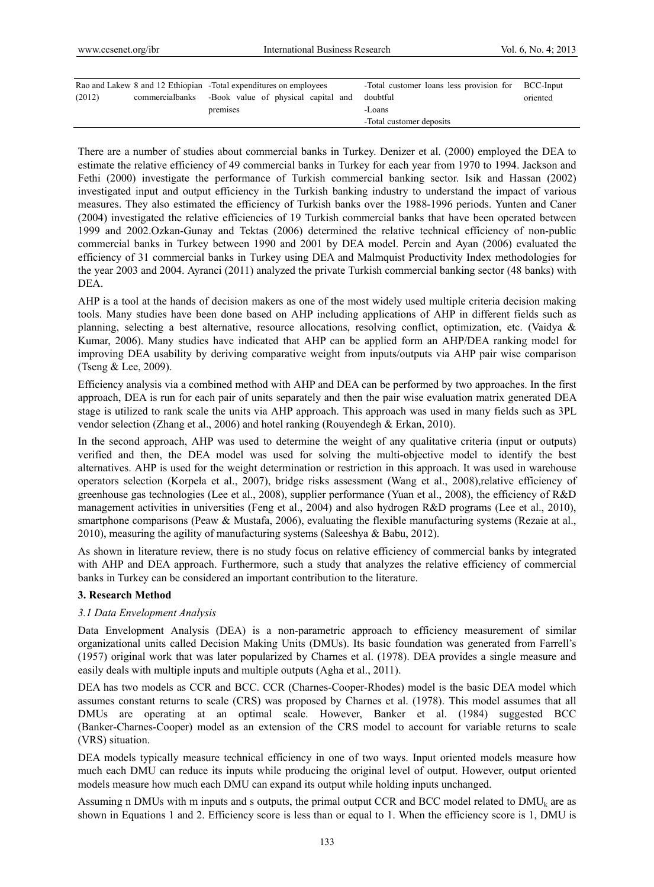|        |                 | Rao and Lakew 8 and 12 Ethiopian -Total expenditures on employees | -Total customer loans less provision for BCC-Input |          |
|--------|-----------------|-------------------------------------------------------------------|----------------------------------------------------|----------|
| (2012) | commercialbanks | -Book value of physical capital and                               | doubtful                                           | oriented |
|        |                 | premises                                                          | -Loans                                             |          |
|        |                 |                                                                   | -Total customer deposits                           |          |

There are a number of studies about commercial banks in Turkey. Denizer et al. (2000) employed the DEA to estimate the relative efficiency of 49 commercial banks in Turkey for each year from 1970 to 1994. Jackson and Fethi (2000) investigate the performance of Turkish commercial banking sector. Isik and Hassan (2002) investigated input and output efficiency in the Turkish banking industry to understand the impact of various measures. They also estimated the efficiency of Turkish banks over the 1988-1996 periods. Yunten and Caner (2004) investigated the relative efficiencies of 19 Turkish commercial banks that have been operated between 1999 and 2002.Ozkan-Gunay and Tektas (2006) determined the relative technical efficiency of non-public commercial banks in Turkey between 1990 and 2001 by DEA model. Percin and Ayan (2006) evaluated the efficiency of 31 commercial banks in Turkey using DEA and Malmquist Productivity Index methodologies for the year 2003 and 2004. Ayranci (2011) analyzed the private Turkish commercial banking sector (48 banks) with DEA.

AHP is a tool at the hands of decision makers as one of the most widely used multiple criteria decision making tools. Many studies have been done based on AHP including applications of AHP in different fields such as planning, selecting a best alternative, resource allocations, resolving conflict, optimization, etc. (Vaidya & Kumar, 2006). Many studies have indicated that AHP can be applied form an AHP/DEA ranking model for improving DEA usability by deriving comparative weight from inputs/outputs via AHP pair wise comparison (Tseng & Lee, 2009).

Efficiency analysis via a combined method with AHP and DEA can be performed by two approaches. In the first approach, DEA is run for each pair of units separately and then the pair wise evaluation matrix generated DEA stage is utilized to rank scale the units via AHP approach. This approach was used in many fields such as 3PL vendor selection (Zhang et al., 2006) and hotel ranking (Rouyendegh & Erkan, 2010).

In the second approach, AHP was used to determine the weight of any qualitative criteria (input or outputs) verified and then, the DEA model was used for solving the multi-objective model to identify the best alternatives. AHP is used for the weight determination or restriction in this approach. It was used in warehouse operators selection (Korpela et al., 2007), bridge risks assessment (Wang et al., 2008),relative efficiency of greenhouse gas technologies (Lee et al., 2008), supplier performance (Yuan et al., 2008), the efficiency of R&D management activities in universities (Feng et al., 2004) and also hydrogen R&D programs (Lee et al., 2010), smartphone comparisons (Peaw & Mustafa, 2006), evaluating the flexible manufacturing systems (Rezaie at al., 2010), measuring the agility of manufacturing systems (Saleeshya & Babu, 2012).

As shown in literature review, there is no study focus on relative efficiency of commercial banks by integrated with AHP and DEA approach. Furthermore, such a study that analyzes the relative efficiency of commercial banks in Turkey can be considered an important contribution to the literature.

## **3. Research Method**

## *3.1 Data Envelopment Analysis*

Data Envelopment Analysis (DEA) is a non-parametric approach to efficiency measurement of similar organizational units called Decision Making Units (DMUs). Its basic foundation was generated from Farrell's (1957) original work that was later popularized by Charnes et al. (1978). DEA provides a single measure and easily deals with multiple inputs and multiple outputs (Agha et al., 2011).

DEA has two models as CCR and BCC. CCR (Charnes-Cooper-Rhodes) model is the basic DEA model which assumes constant returns to scale (CRS) was proposed by Charnes et al. (1978). This model assumes that all DMUs are operating at an optimal scale. However, Banker et al. (1984) suggested BCC (Banker-Charnes-Cooper) model as an extension of the CRS model to account for variable returns to scale (VRS) situation.

DEA models typically measure technical efficiency in one of two ways. Input oriented models measure how much each DMU can reduce its inputs while producing the original level of output. However, output oriented models measure how much each DMU can expand its output while holding inputs unchanged.

Assuming n DMUs with m inputs and s outputs, the primal output CCR and BCC model related to  $DMU_k$  are as shown in Equations 1 and 2. Efficiency score is less than or equal to 1. When the efficiency score is 1, DMU is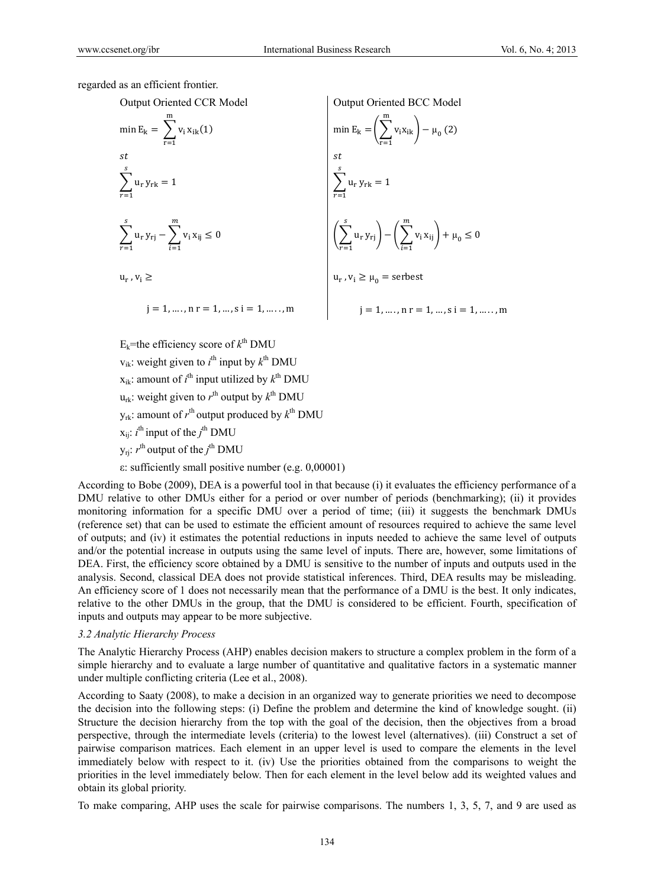regarded as an efficient frontier.

Output Oriented CCR Model  
\nmin E<sub>k</sub> = 
$$
\sum_{r=1}^{m} v_i x_{ik}(1)
$$
  
\n  
\n
$$
\sum_{r=1}^{s} u_r y_{rk} = 1
$$
\n
$$
\sum_{r=1}^{s} u_r y_{rk} = 1
$$
\n
$$
\sum_{r=1}^{s} u_r y_{rk} = 1
$$
\n
$$
\sum_{r=1}^{s} u_r y_{ri} - \sum_{i=1}^{m} v_i x_{ij} \le 0
$$
\n
$$
u_r, v_i \ge
$$
\n
$$
j = 1, ..., n r = 1, ..., s i = 1, ..., m
$$
\n
$$
E_k
$$
= $\left(\sum_{r=1}^{s} u_r y_{ri}\right) - \left(\sum_{i=1}^{m} v_i x_{ij}\right) + \mu_0 \le 0$ \n
$$
u_r, v_i \ge \mu_0 = \text{serbest}
$$
\n
$$
j = 1, ..., n r = 1, ..., s i = 1, ..., m
$$
\n
$$
E_k
$$
= $\text{ffeiciency score of } k^{\text{th}} \text{ DMU}$ \n
$$
v_{ik}
$$
: weight given to  $i^{\text{th}}$  input by  $k^{\text{th}} \text{ DMU}$ \n
$$
u_{ik}
$$
: amount of  $i^{\text{th}}$  input by  $k^{\text{th}} \text{ DMU}$ \n
$$
v_{ik}
$$
: amount of  $r^{\text{th}}$  output produced by  $k^{\text{th}} \text{ DMU}$ \n
$$
y_{rk}
$$
: amount of  $r^{\text{th}}$  output produced by  $k^{\text{th}} \text{ DMU}$ 

 $x_{ij}$ : *i*<sup>th</sup> input of the *j*<sup>th</sup> DMU

 $y_{ri}$ :  $r^{th}$  output of the  $j^{th}$  DMU

ε: sufficiently small positive number (e.g. 0,00001)

According to Bobe (2009), DEA is a powerful tool in that because (i) it evaluates the efficiency performance of a DMU relative to other DMUs either for a period or over number of periods (benchmarking); (ii) it provides monitoring information for a specific DMU over a period of time; (iii) it suggests the benchmark DMUs (reference set) that can be used to estimate the efficient amount of resources required to achieve the same level of outputs; and (iv) it estimates the potential reductions in inputs needed to achieve the same level of outputs and/or the potential increase in outputs using the same level of inputs. There are, however, some limitations of DEA. First, the efficiency score obtained by a DMU is sensitive to the number of inputs and outputs used in the analysis. Second, classical DEA does not provide statistical inferences. Third, DEA results may be misleading. An efficiency score of 1 does not necessarily mean that the performance of a DMU is the best. It only indicates, relative to the other DMUs in the group, that the DMU is considered to be efficient. Fourth, specification of inputs and outputs may appear to be more subjective.

#### *3.2 Analytic Hierarchy Process*

The Analytic Hierarchy Process (AHP) enables decision makers to structure a complex problem in the form of a simple hierarchy and to evaluate a large number of quantitative and qualitative factors in a systematic manner under multiple conflicting criteria (Lee et al., 2008).

According to Saaty (2008), to make a decision in an organized way to generate priorities we need to decompose the decision into the following steps: (i) Define the problem and determine the kind of knowledge sought. (ii) Structure the decision hierarchy from the top with the goal of the decision, then the objectives from a broad perspective, through the intermediate levels (criteria) to the lowest level (alternatives). (iii) Construct a set of pairwise comparison matrices. Each element in an upper level is used to compare the elements in the level immediately below with respect to it. (iv) Use the priorities obtained from the comparisons to weight the priorities in the level immediately below. Then for each element in the level below add its weighted values and obtain its global priority.

To make comparing, AHP uses the scale for pairwise comparisons. The numbers 1, 3, 5, 7, and 9 are used as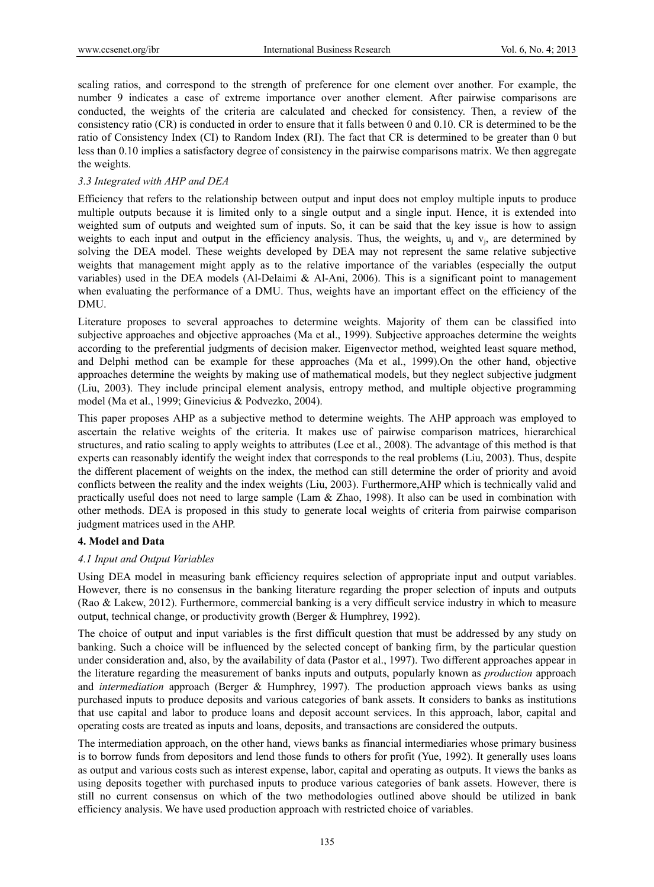scaling ratios, and correspond to the strength of preference for one element over another. For example, the number 9 indicates a case of extreme importance over another element. After pairwise comparisons are conducted, the weights of the criteria are calculated and checked for consistency. Then, a review of the consistency ratio (CR) is conducted in order to ensure that it falls between 0 and 0.10. CR is determined to be the ratio of Consistency Index (CI) to Random Index (RI). The fact that CR is determined to be greater than 0 but less than 0.10 implies a satisfactory degree of consistency in the pairwise comparisons matrix. We then aggregate the weights.

## *3.3 Integrated with AHP and DEA*

Efficiency that refers to the relationship between output and input does not employ multiple inputs to produce multiple outputs because it is limited only to a single output and a single input. Hence, it is extended into weighted sum of outputs and weighted sum of inputs. So, it can be said that the key issue is how to assign weights to each input and output in the efficiency analysis. Thus, the weights,  $u_i$  and  $v_i$ , are determined by solving the DEA model. These weights developed by DEA may not represent the same relative subjective weights that management might apply as to the relative importance of the variables (especially the output variables) used in the DEA models (Al-Delaimi & Al-Ani, 2006). This is a significant point to management when evaluating the performance of a DMU. Thus, weights have an important effect on the efficiency of the DMU.

Literature proposes to several approaches to determine weights. Majority of them can be classified into subjective approaches and objective approaches (Ma et al., 1999). Subjective approaches determine the weights according to the preferential judgments of decision maker. Eigenvector method, weighted least square method, and Delphi method can be example for these approaches (Ma et al., 1999).On the other hand, objective approaches determine the weights by making use of mathematical models, but they neglect subjective judgment (Liu, 2003). They include principal element analysis, entropy method, and multiple objective programming model (Ma et al., 1999; Ginevicius & Podvezko, 2004).

This paper proposes AHP as a subjective method to determine weights. The AHP approach was employed to ascertain the relative weights of the criteria. It makes use of pairwise comparison matrices, hierarchical structures, and ratio scaling to apply weights to attributes (Lee et al., 2008). The advantage of this method is that experts can reasonably identify the weight index that corresponds to the real problems (Liu, 2003). Thus, despite the different placement of weights on the index, the method can still determine the order of priority and avoid conflicts between the reality and the index weights (Liu, 2003). Furthermore,AHP which is technically valid and practically useful does not need to large sample (Lam & Zhao, 1998). It also can be used in combination with other methods. DEA is proposed in this study to generate local weights of criteria from pairwise comparison judgment matrices used in the AHP.

## **4. Model and Data**

## *4.1 Input and Output Variables*

Using DEA model in measuring bank efficiency requires selection of appropriate input and output variables. However, there is no consensus in the banking literature regarding the proper selection of inputs and outputs (Rao & Lakew, 2012). Furthermore, commercial banking is a very difficult service industry in which to measure output, technical change, or productivity growth (Berger & Humphrey, 1992).

The choice of output and input variables is the first difficult question that must be addressed by any study on banking. Such a choice will be influenced by the selected concept of banking firm, by the particular question under consideration and, also, by the availability of data (Pastor et al., 1997). Two different approaches appear in the literature regarding the measurement of banks inputs and outputs, popularly known as *production* approach and *intermediation* approach (Berger & Humphrey, 1997). The production approach views banks as using purchased inputs to produce deposits and various categories of bank assets. It considers to banks as institutions that use capital and labor to produce loans and deposit account services. In this approach, labor, capital and operating costs are treated as inputs and loans, deposits, and transactions are considered the outputs.

The intermediation approach, on the other hand, views banks as financial intermediaries whose primary business is to borrow funds from depositors and lend those funds to others for profit (Yue, 1992). It generally uses loans as output and various costs such as interest expense, labor, capital and operating as outputs. It views the banks as using deposits together with purchased inputs to produce various categories of bank assets. However, there is still no current consensus on which of the two methodologies outlined above should be utilized in bank efficiency analysis. We have used production approach with restricted choice of variables.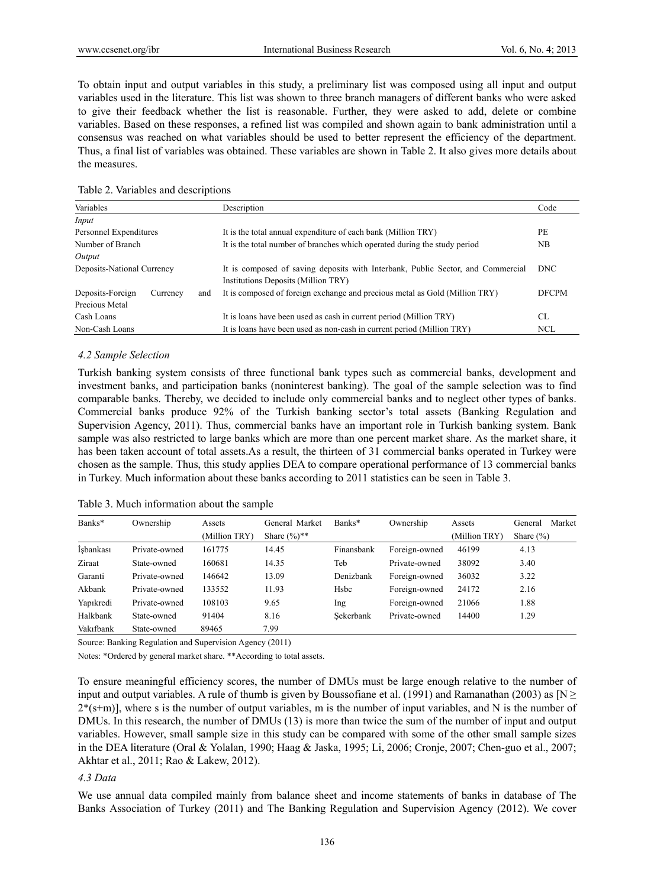To obtain input and output variables in this study, a preliminary list was composed using all input and output variables used in the literature. This list was shown to three branch managers of different banks who were asked to give their feedback whether the list is reasonable. Further, they were asked to add, delete or combine variables. Based on these responses, a refined list was compiled and shown again to bank administration until a consensus was reached on what variables should be used to better represent the efficiency of the department. Thus, a final list of variables was obtained. These variables are shown in Table 2. It also gives more details about the measures.

| Table 2. Variables and descriptions |
|-------------------------------------|
|-------------------------------------|

| Variables                  |          |     | Description                                                                                                            |              |  |  |  |
|----------------------------|----------|-----|------------------------------------------------------------------------------------------------------------------------|--------------|--|--|--|
| Input                      |          |     |                                                                                                                        |              |  |  |  |
| Personnel Expenditures     |          |     | It is the total annual expenditure of each bank (Million TRY)                                                          | PE           |  |  |  |
| Number of Branch           |          |     | It is the total number of branches which operated during the study period                                              | NB           |  |  |  |
| Output                     |          |     |                                                                                                                        |              |  |  |  |
| Deposits-National Currency |          |     | It is composed of saving deposits with Interbank, Public Sector, and Commercial<br>Institutions Deposits (Million TRY) | <b>DNC</b>   |  |  |  |
| Deposits-Foreign           | Currency | and | It is composed of foreign exchange and precious metal as Gold (Million TRY)                                            | <b>DFCPM</b> |  |  |  |
| Precious Metal             |          |     |                                                                                                                        |              |  |  |  |
| Cash Loans                 |          |     | It is loans have been used as cash in current period (Million TRY)                                                     | CL.          |  |  |  |
| Non-Cash Loans             |          |     | It is loans have been used as non-cash in current period (Million TRY)                                                 |              |  |  |  |

## *4.2 Sample Selection*

Turkish banking system consists of three functional bank types such as commercial banks, development and investment banks, and participation banks (noninterest banking). The goal of the sample selection was to find comparable banks. Thereby, we decided to include only commercial banks and to neglect other types of banks. Commercial banks produce 92% of the Turkish banking sector's total assets (Banking Regulation and Supervision Agency, 2011). Thus, commercial banks have an important role in Turkish banking system. Bank sample was also restricted to large banks which are more than one percent market share. As the market share, it has been taken account of total assets.As a result, the thirteen of 31 commercial banks operated in Turkey were chosen as the sample. Thus, this study applies DEA to compare operational performance of 13 commercial banks in Turkey. Much information about these banks according to 2011 statistics can be seen in Table 3.

| Banks*    | Ownership     | Assets        | General Market           | Banks*     | Ownership     | Assets        | Market<br>General |
|-----------|---------------|---------------|--------------------------|------------|---------------|---------------|-------------------|
|           |               | (Million TRY) | Share $(\frac{9}{6})$ ** |            |               | (Million TRY) | Share $(\% )$     |
| İsbankası | Private-owned | 161775        | 14.45                    | Finansbank | Foreign-owned | 46199         | 4.13              |
| Ziraat    | State-owned   | 160681        | 14.35                    | Teb        | Private-owned | 38092         | 3.40              |
| Garanti   | Private-owned | 146642        | 13.09                    | Denizbank  | Foreign-owned | 36032         | 3.22              |
| Akbank    | Private-owned | 133552        | 11.93                    | Hsbc       | Foreign-owned | 24172         | 2.16              |
| Yapıkredi | Private-owned | 108103        | 9.65                     | Ing        | Foreign-owned | 21066         | 1.88              |
| Halkbank  | State-owned   | 91404         | 8.16                     | Sekerbank  | Private-owned | 14400         | 1.29              |
| Vakıfbank | State-owned   | 89465         | 7.99                     |            |               |               |                   |

Table 3. Much information about the sample

Source: Banking Regulation and Supervision Agency (2011)

Notes: \*Ordered by general market share. \*\*According to total assets.

To ensure meaningful efficiency scores, the number of DMUs must be large enough relative to the number of input and output variables. A rule of thumb is given by Boussofiane et al. (1991) and Ramanathan (2003) as  $[N \geq 1]$  $2*(s+m)$ ], where s is the number of output variables, m is the number of input variables, and N is the number of DMUs. In this research, the number of DMUs (13) is more than twice the sum of the number of input and output variables. However, small sample size in this study can be compared with some of the other small sample sizes in the DEA literature (Oral & Yolalan, 1990; Haag & Jaska, 1995; Li, 2006; Cronje, 2007; Chen-guo et al., 2007; Akhtar et al., 2011; Rao & Lakew, 2012).

#### *4.3 Data*

We use annual data compiled mainly from balance sheet and income statements of banks in database of The Banks Association of Turkey (2011) and The Banking Regulation and Supervision Agency (2012). We cover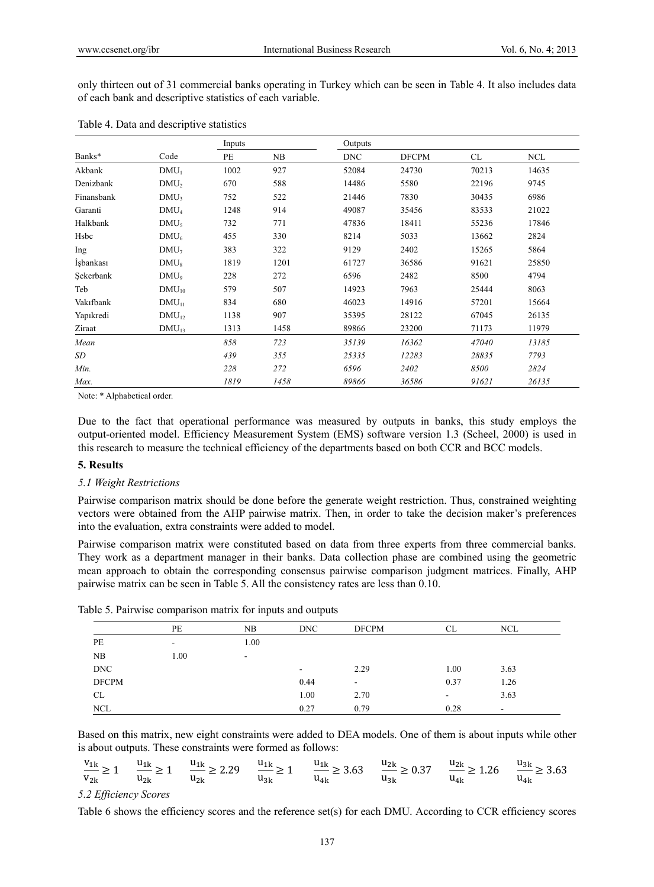only thirteen out of 31 commercial banks operating in Turkey which can be seen in Table 4. It also includes data of each bank and descriptive statistics of each variable.

|            |                  | Inputs |      | Outputs    |              |       |            |  |  |
|------------|------------------|--------|------|------------|--------------|-------|------------|--|--|
| Banks*     | Code             | PE     | NB   | <b>DNC</b> | <b>DFCPM</b> | CL.   | <b>NCL</b> |  |  |
| Akbank     | $DMU_1$          | 1002   | 927  | 52084      | 24730        | 70213 | 14635      |  |  |
| Denizbank  | DMU <sub>2</sub> | 670    | 588  | 14486      | 5580         | 22196 | 9745       |  |  |
| Finansbank | DMU <sub>3</sub> | 752    | 522  | 21446      | 7830         | 30435 | 6986       |  |  |
| Garanti    | DMU <sub>4</sub> | 1248   | 914  | 49087      | 35456        | 83533 | 21022      |  |  |
| Halkbank   | DMU <sub>5</sub> | 732    | 771  | 47836      | 18411        | 55236 | 17846      |  |  |
| Hsbc       | $DMU_6$          | 455    | 330  | 8214       | 5033         | 13662 | 2824       |  |  |
| Ing        | DMU <sub>7</sub> | 383    | 322  | 9129       | 2402         | 15265 | 5864       |  |  |
| İşbankası  | $DMU_8$          | 1819   | 1201 | 61727      | 36586        | 91621 | 25850      |  |  |
| Sekerbank  | DMU <sub>9</sub> | 228    | 272  | 6596       | 2482         | 8500  | 4794       |  |  |
| Teb        | $DMU_{10}$       | 579    | 507  | 14923      | 7963         | 25444 | 8063       |  |  |
| Vakıfbank  | $DMU_{11}$       | 834    | 680  | 46023      | 14916        | 57201 | 15664      |  |  |
| Yapıkredi  | $DMU_{12}$       | 1138   | 907  | 35395      | 28122        | 67045 | 26135      |  |  |
| Ziraat     | $DMU_{13}$       | 1313   | 1458 | 89866      | 23200        | 71173 | 11979      |  |  |
| Mean       |                  | 858    | 723  | 35139      | 16362        | 47040 | 13185      |  |  |
| SD         |                  | 439    | 355  | 25335      | 12283        | 28835 | 7793       |  |  |
| Min.       |                  | 228    | 272  | 6596       | 2402         | 8500  | 2824       |  |  |
| Max.       |                  | 1819   | 1458 | 89866      | 36586        | 91621 | 26135      |  |  |

Table 4. Data and descriptive statistics

Note: \* Alphabetical order.

Due to the fact that operational performance was measured by outputs in banks, this study employs the output-oriented model. Efficiency Measurement System (EMS) software version 1.3 (Scheel, 2000) is used in this research to measure the technical efficiency of the departments based on both CCR and BCC models.

## **5. Results**

#### *5.1 Weight Restrictions*

Pairwise comparison matrix should be done before the generate weight restriction. Thus, constrained weighting vectors were obtained from the AHP pairwise matrix. Then, in order to take the decision maker's preferences into the evaluation, extra constraints were added to model.

Pairwise comparison matrix were constituted based on data from three experts from three commercial banks. They work as a department manager in their banks. Data collection phase are combined using the geometric mean approach to obtain the corresponding consensus pairwise comparison judgment matrices. Finally, AHP pairwise matrix can be seen in Table 5. All the consistency rates are less than 0.10.

|              | PE                       | NB                       | <b>DNC</b>               | <b>DFCPM</b>             | CL   | <b>NCL</b>               |  |
|--------------|--------------------------|--------------------------|--------------------------|--------------------------|------|--------------------------|--|
| PE           | $\overline{\phantom{a}}$ | 1.00                     |                          |                          |      |                          |  |
| NB           | 00.1                     | $\overline{\phantom{a}}$ |                          |                          |      |                          |  |
| <b>DNC</b>   |                          |                          | $\overline{\phantom{a}}$ | 2.29                     | 1.00 | 3.63                     |  |
| <b>DFCPM</b> |                          |                          | 0.44                     | $\overline{\phantom{a}}$ | 0.37 | 1.26                     |  |
| CL.          |                          |                          | 1.00                     | 2.70                     |      | 3.63                     |  |
| <b>NCL</b>   |                          |                          | 0.27                     | 0.79                     | 0.28 | $\overline{\phantom{0}}$ |  |

Table 5. Pairwise comparison matrix for inputs and outputs

Based on this matrix, new eight constraints were added to DEA models. One of them is about inputs while other is about outputs. These constraints were formed as follows:

$$
\frac{v_{1k}}{v_{2k}} \geq 1 \quad \ \frac{u_{1k}}{u_{2k}} \geq 1 \quad \ \frac{u_{1k}}{u_{2k}} \geq 2.29 \quad \ \frac{u_{1k}}{u_{3k}} \geq 1 \quad \ \ \frac{u_{1k}}{u_{4k}} \geq 3.63 \quad \ \frac{u_{2k}}{u_{3k}} \geq 0.37 \quad \ \frac{u_{2k}}{u_{4k}} \geq 1.26 \quad \ \frac{u_{3k}}{u_{4k}} \geq 3.63
$$

#### *5.2 Efficiency Scores*

Table 6 shows the efficiency scores and the reference set(s) for each DMU. According to CCR efficiency scores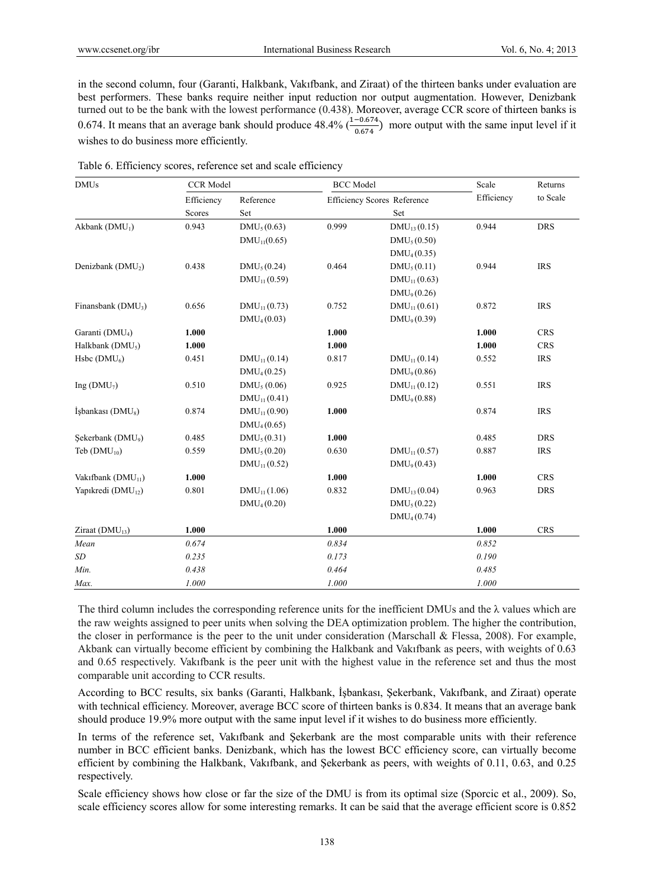in the second column, four (Garanti, Halkbank, Vakıfbank, and Ziraat) of the thirteen banks under evaluation are best performers. These banks require neither input reduction nor output augmentation. However, Denizbank turned out to be the bank with the lowest performance (0.438). Moreover, average CCR score of thirteen banks is 0.674. It means that an average bank should produce  $48.4\% \left(\frac{1-0.674}{0.674}\right)$  more output with the same input level if it wishes to do business more efficiently.

| <b>DMUs</b>                    | <b>CCR Model</b>        |                  | <b>BCC</b> Model |                             | Scale      | Returns    |  |
|--------------------------------|-------------------------|------------------|------------------|-----------------------------|------------|------------|--|
|                                | Reference<br>Efficiency |                  |                  | Efficiency Scores Reference | Efficiency | to Scale   |  |
|                                | Scores                  | Set              |                  | Set                         |            |            |  |
| Akbank (DMU <sub>1</sub> )     | 0.943                   | $DMU_5(0.63)$    | 0.999            | $DMU_{13}(0.15)$            | 0.944      | <b>DRS</b> |  |
|                                |                         | $DMU_{11}(0.65)$ |                  | $DMU_5(0.50)$               |            |            |  |
|                                |                         |                  |                  | $DMU_4(0.35)$               |            |            |  |
| Denizbank $(DMU2)$             | 0.438                   | $DMU_5(0.24)$    | 0.464            | $DMU_5(0.11)$               | 0.944      | <b>IRS</b> |  |
|                                |                         | $DMU_{11}(0.59)$ |                  | $DMU_{11}(0.63)$            |            |            |  |
|                                |                         |                  |                  | $DMU_9(0.26)$               |            |            |  |
| Finansbank $(DMU3)$            | 0.656                   | $DMU_{11}(0.73)$ | 0.752            | $DMU_{11}(0.61)$            | 0.872      | <b>IRS</b> |  |
|                                |                         | $DMU_4(0.03)$    |                  | $DMU_9(0.39)$               |            |            |  |
| Garanti (DMU <sub>4</sub> )    | 1.000                   |                  | 1.000            |                             | 1.000      | <b>CRS</b> |  |
| Halkbank ( $DMU_5$ )           | 1.000                   |                  | 1.000            |                             | 1.000      | <b>CRS</b> |  |
| Hsbc $(DMU6)$                  | 0.451                   | $DMU_{11}(0.14)$ | 0.817            | $DMU_{11}(0.14)$            | 0.552      | <b>IRS</b> |  |
|                                |                         | $DMU_4(0.25)$    |                  | $DMU_9(0.86)$               |            |            |  |
| Ing $(DMU7)$                   | 0.510                   | $DMU_5(0.06)$    | 0.925            | $DMU_{11}(0.12)$            | 0.551      | <b>IRS</b> |  |
|                                |                         | $DMU_{11}(0.41)$ |                  | $DMU_9(0.88)$               |            |            |  |
| İşbankası (DMU <sub>8</sub> )  | 0.874                   | $DMU_{11}(0.90)$ | 1.000            |                             | 0.874      | <b>IRS</b> |  |
|                                |                         | $DMU_4(0.65)$    |                  |                             |            |            |  |
| Sekerbank (DMU <sub>9</sub> )  | 0.485                   | $DMU_5(0.31)$    | 1.000            |                             | 0.485      | <b>DRS</b> |  |
| Teb $(DMU_{10})$               | 0.559                   | $DMU_5(0.20)$    | 0.630            | $DMU_{11}(0.57)$            | 0.887      | <b>IRS</b> |  |
|                                |                         | $DMU_{11}(0.52)$ |                  | $DMU_9(0.43)$               |            |            |  |
| Vakıfbank (DMU <sub>11</sub> ) | 1.000                   |                  | 1.000            |                             | 1.000      | <b>CRS</b> |  |
| Yapıkredi (DMU <sub>12</sub> ) | 0.801                   | $DMU_{11}(1.06)$ | 0.832            | $DMU_{13}(0.04)$            | 0.963      | <b>DRS</b> |  |
|                                |                         | $DMU_4(0.20)$    |                  | $DMU_5(0.22)$               |            |            |  |
|                                |                         |                  |                  | $DMU_4(0.74)$               |            |            |  |
| Ziraat $(DMU13)$               | 1.000                   |                  | 1.000            |                             | 1.000      | <b>CRS</b> |  |
| Mean                           | 0.674                   |                  | 0.834            |                             | 0.852      |            |  |
| SD                             | 0.235                   |                  | 0.173            |                             | 0.190      |            |  |
| Min.                           | 0.438                   |                  | 0.464            |                             | 0.485      |            |  |
| Max.                           | 1.000                   |                  | 1.000            |                             | 1.000      |            |  |

Table 6. Efficiency scores, reference set and scale efficiency

The third column includes the corresponding reference units for the inefficient DMUs and the λ values which are the raw weights assigned to peer units when solving the DEA optimization problem. The higher the contribution, the closer in performance is the peer to the unit under consideration (Marschall  $\&$  Flessa, 2008). For example, Akbank can virtually become efficient by combining the Halkbank and Vakıfbank as peers, with weights of 0.63 and 0.65 respectively. Vakıfbank is the peer unit with the highest value in the reference set and thus the most comparable unit according to CCR results.

According to BCC results, six banks (Garanti, Halkbank, İşbankası, Şekerbank, Vakıfbank, and Ziraat) operate with technical efficiency. Moreover, average BCC score of thirteen banks is 0.834. It means that an average bank should produce 19.9% more output with the same input level if it wishes to do business more efficiently.

In terms of the reference set, Vakıfbank and Şekerbank are the most comparable units with their reference number in BCC efficient banks. Denizbank, which has the lowest BCC efficiency score, can virtually become efficient by combining the Halkbank, Vakıfbank, and Şekerbank as peers, with weights of 0.11, 0.63, and 0.25 respectively.

Scale efficiency shows how close or far the size of the DMU is from its optimal size (Sporcic et al., 2009). So, scale efficiency scores allow for some interesting remarks. It can be said that the average efficient score is 0.852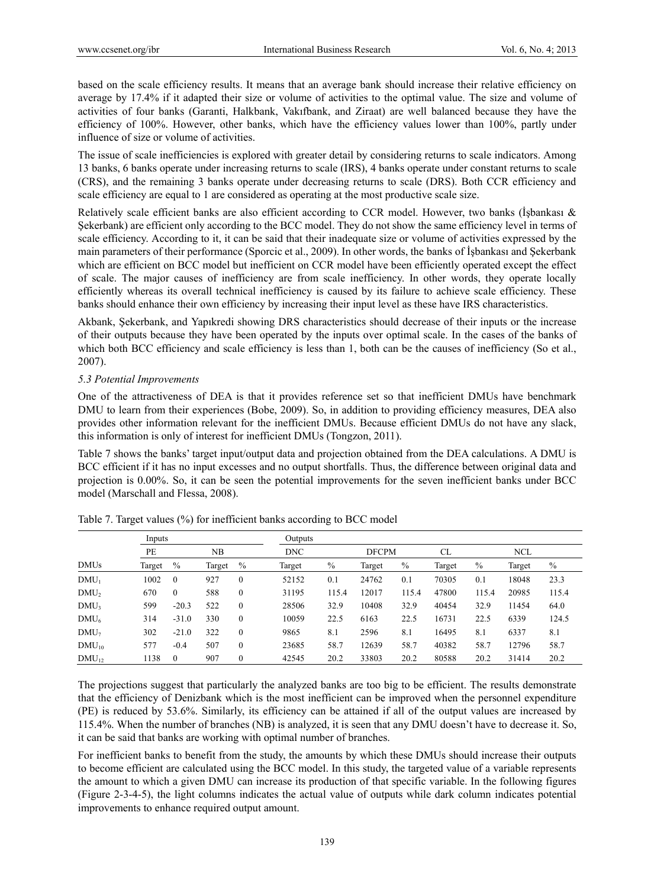based on the scale efficiency results. It means that an average bank should increase their relative efficiency on average by 17.4% if it adapted their size or volume of activities to the optimal value. The size and volume of activities of four banks (Garanti, Halkbank, Vakıfbank, and Ziraat) are well balanced because they have the efficiency of 100%. However, other banks, which have the efficiency values lower than 100%, partly under influence of size or volume of activities.

The issue of scale inefficiencies is explored with greater detail by considering returns to scale indicators. Among 13 banks, 6 banks operate under increasing returns to scale (IRS), 4 banks operate under constant returns to scale (CRS), and the remaining 3 banks operate under decreasing returns to scale (DRS). Both CCR efficiency and scale efficiency are equal to 1 are considered as operating at the most productive scale size.

Relatively scale efficient banks are also efficient according to CCR model. However, two banks (İşbankası & Şekerbank) are efficient only according to the BCC model. They do not show the same efficiency level in terms of scale efficiency. According to it, it can be said that their inadequate size or volume of activities expressed by the main parameters of their performance (Sporcic et al., 2009). In other words, the banks of İşbankası and Şekerbank which are efficient on BCC model but inefficient on CCR model have been efficiently operated except the effect of scale. The major causes of inefficiency are from scale inefficiency. In other words, they operate locally efficiently whereas its overall technical inefficiency is caused by its failure to achieve scale efficiency. These banks should enhance their own efficiency by increasing their input level as these have IRS characteristics.

Akbank, Şekerbank, and Yapıkredi showing DRS characteristics should decrease of their inputs or the increase of their outputs because they have been operated by the inputs over optimal scale. In the cases of the banks of which both BCC efficiency and scale efficiency is less than 1, both can be the causes of inefficiency (So et al., 2007).

## *5.3 Potential Improvements*

One of the attractiveness of DEA is that it provides reference set so that inefficient DMUs have benchmark DMU to learn from their experiences (Bobe, 2009). So, in addition to providing efficiency measures, DEA also provides other information relevant for the inefficient DMUs. Because efficient DMUs do not have any slack, this information is only of interest for inefficient DMUs (Tongzon, 2011).

Table 7 shows the banks' target input/output data and projection obtained from the DEA calculations. A DMU is BCC efficient if it has no input excesses and no output shortfalls. Thus, the difference between original data and projection is 0.00%. So, it can be seen the potential improvements for the seven inefficient banks under BCC model (Marschall and Flessa, 2008).

|                  | Inputs |              |        |                | Outputs    |       |              |       |        |       |            |       |
|------------------|--------|--------------|--------|----------------|------------|-------|--------------|-------|--------|-------|------------|-------|
|                  | PE     |              | NΒ     |                | <b>DNC</b> |       | <b>DFCPM</b> |       | CL     |       | <b>NCL</b> |       |
| <b>DMUs</b>      | Target | $\%$         | Target | $\%$           | Target     | $\%$  | Target       | $\%$  | Target | $\%$  | Target     | $\%$  |
| $DMU_1$          | 1002   | $\mathbf{0}$ | 927    | $\theta$       | 52152      | 0.1   | 24762        | 0.1   | 70305  | 0.1   | 18048      | 23.3  |
| DMU <sub>2</sub> | 670    | $\mathbf{0}$ | 588    | $\theta$       | 31195      | 115.4 | 12017        | 115.4 | 47800  | 115.4 | 20985      | 115.4 |
| DMU <sub>3</sub> | 599    | $-20.3$      | 522    | $\theta$       | 28506      | 32.9  | 10408        | 32.9  | 40454  | 32.9  | 11454      | 64.0  |
| DMU <sub>6</sub> | 314    | $-31.0$      | 330    | $\mathbf{0}$   | 10059      | 22.5  | 6163         | 22.5  | 16731  | 22.5  | 6339       | 124.5 |
| DMU <sub>7</sub> | 302    | $-21.0$      | 322    | $\theta$       | 9865       | 8.1   | 2596         | 8.1   | 16495  | 8.1   | 6337       | 8.1   |
| $DMU_{10}$       | 577    | $-0.4$       | 507    | $\overline{0}$ | 23685      | 58.7  | 12639        | 58.7  | 40382  | 58.7  | 12796      | 58.7  |
| $DMU_1$          | 1138   | $\theta$     | 907    | $\theta$       | 42545      | 20.2  | 33803        | 20.2  | 80588  | 20.2  | 31414      | 20.2  |

The projections suggest that particularly the analyzed banks are too big to be efficient. The results demonstrate that the efficiency of Denizbank which is the most inefficient can be improved when the personnel expenditure (PE) is reduced by 53.6%. Similarly, its efficiency can be attained if all of the output values are increased by 115.4%. When the number of branches (NB) is analyzed, it is seen that any DMU doesn't have to decrease it. So, it can be said that banks are working with optimal number of branches.

For inefficient banks to benefit from the study, the amounts by which these DMUs should increase their outputs to become efficient are calculated using the BCC model. In this study, the targeted value of a variable represents the amount to which a given DMU can increase its production of that specific variable. In the following figures (Figure 2-3-4-5), the light columns indicates the actual value of outputs while dark column indicates potential improvements to enhance required output amount.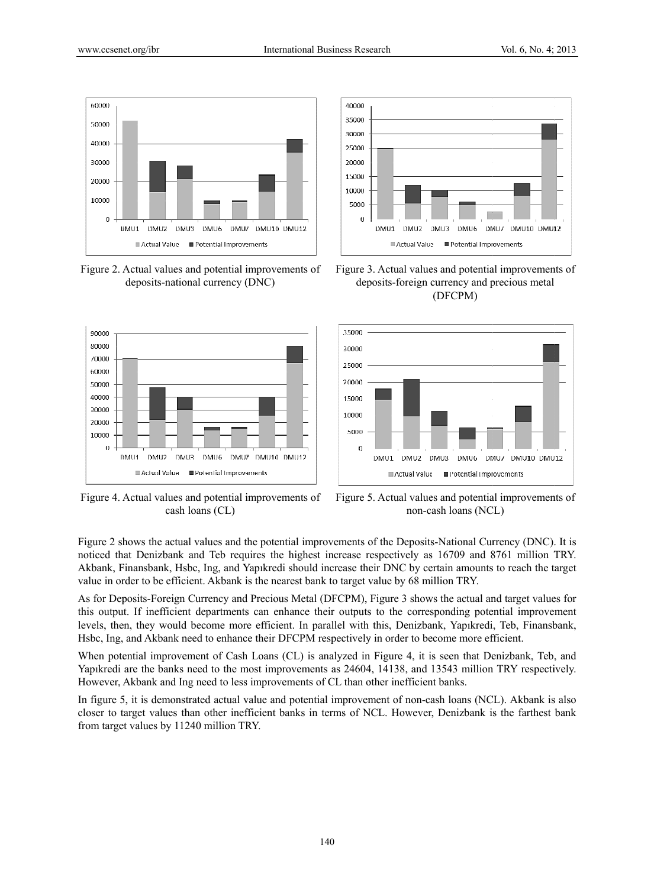

Figure 2. Actual values and potential improvements of deposits-national currency (DNC)



Figure 4. Actual values and potential improvements of cash loans (CL)



Figure 3. Actual values and potential improvements of deposits-foreign currency and precious metal (DFCPM)



Figure 5. Actual values and potential improvements of non-cash loans (NCL)

Figure 2 shows the actual values and the potential improvements of the Deposits-National Currency (DNC). It is noticed that Denizbank and Teb requires the highest increase respectively as 16709 and 8761 million TRY. Akbank, Finansbank, Hsbc, Ing, and Yapıkredi should increase their DNC by certain amounts to reach the target value in order to be efficient. Akbank is the nearest bank to target value by 68 million TRY.

As for Deposits-Foreign Currency and Precious Metal (DFCPM), Figure 3 shows the actual and target values for this output. If inefficient departments can enhance their outputs to the corresponding potential improvement levels, then, they would become more efficient. In parallel with this, Denizbank, Yapıkredi, Teb, Finansbank, Hsbc, Ing, and Akbank need to enhance their DFCPM respectively in order to become more efficient.

When potential improvement of Cash Loans (CL) is analyzed in Figure 4, it is seen that Denizbank, Teb, and Yapıkredi are the banks need to the most improvements as 24604, 14138, and 13543 million TRY respectively. However, Akbank and Ing need to less improvements of CL than other inefficient banks.

In figure 5, it is demonstrated actual value and potential improvement of non-cash loans (NCL). Akbank is also closer to target values than other inefficient banks in terms of NCL. However, Denizbank is the farthest bank from target values by 11240 million TRY.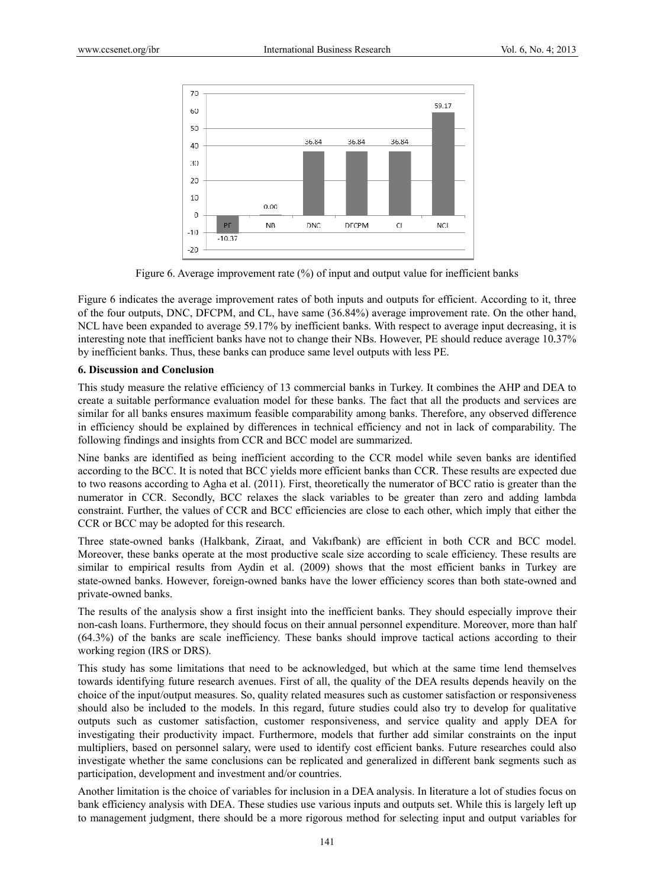

Figure 6. Average improvement rate  $(\%)$  of input and output value for inefficient banks

Figure 6 indicates the average improvement rates of both inputs and outputs for efficient. According to it, three of the four outputs, DNC, DFCPM, and CL, have same (36.84%) average improvement rate. On the other hand, NCL have been expanded to average 59.17% by inefficient banks. With respect to average input decreasing, it is interesting note that inefficient banks have not to change their NBs. However, PE should reduce average 10.37% by inefficient banks. Thus, these banks can produce same level outputs with less PE.

## **6. Discussion and Conclusion**

This study measure the relative efficiency of 13 commercial banks in Turkey. It combines the AHP and DEA to create a suitable performance evaluation model for these banks. The fact that all the products and services are similar for all banks ensures maximum feasible comparability among banks. Therefore, any observed difference in efficiency should be explained by differences in technical efficiency and not in lack of comparability. The following findings and insights from CCR and BCC model are summarized.

Nine banks are identified as being inefficient according to the CCR model while seven banks are identified according to the BCC. It is noted that BCC yields more efficient banks than CCR. These results are expected due to two reasons according to Agha et al. (2011). First, theoretically the numerator of BCC ratio is greater than the numerator in CCR. Secondly, BCC relaxes the slack variables to be greater than zero and adding lambda constraint. Further, the values of CCR and BCC efficiencies are close to each other, which imply that either the CCR or BCC may be adopted for this research.

Three state-owned banks (Halkbank, Ziraat, and Vakıfbank) are efficient in both CCR and BCC model. Moreover, these banks operate at the most productive scale size according to scale efficiency. These results are similar to empirical results from Aydin et al. (2009) shows that the most efficient banks in Turkey are state-owned banks. However, foreign-owned banks have the lower efficiency scores than both state-owned and private-owned banks.

The results of the analysis show a first insight into the inefficient banks. They should especially improve their non-cash loans. Furthermore, they should focus on their annual personnel expenditure. Moreover, more than half  $(64.3%)$  of the banks are scale inefficiency. These banks should improve tactical actions according to their working region (IRS or DRS).

This study has some limitations that need to be acknowledged, but which at the same time lend themselves towards identifying future research avenues. First of all, the quality of the DEA results depends heavily on the choice of the input/output measures. So, quality related measures such as customer satisfaction or responsiveness should also be included to the models. In this regard, future studies could also try to develop for qualitative outputs such as customer satisfaction, customer responsiveness, and service quality and apply DEA for investigating their productivity impact. Furthermore, models that further add similar constraints on the input multipliers, based on personnel salary, were used to identify cost efficient banks. Future researches could also investigate whether the same conclusions can be replicated and generalized in different bank segments such as participation, development and investment and/or countries.

Another limitation is the choice of variables for inclusion in a DEA analysis. In literature a lot of studies focus on bank efficiency analysis with DEA. These studies use various inputs and outputs set. While this is largely left up to management judgment, there should be a more rigorous method for selecting input and output variables for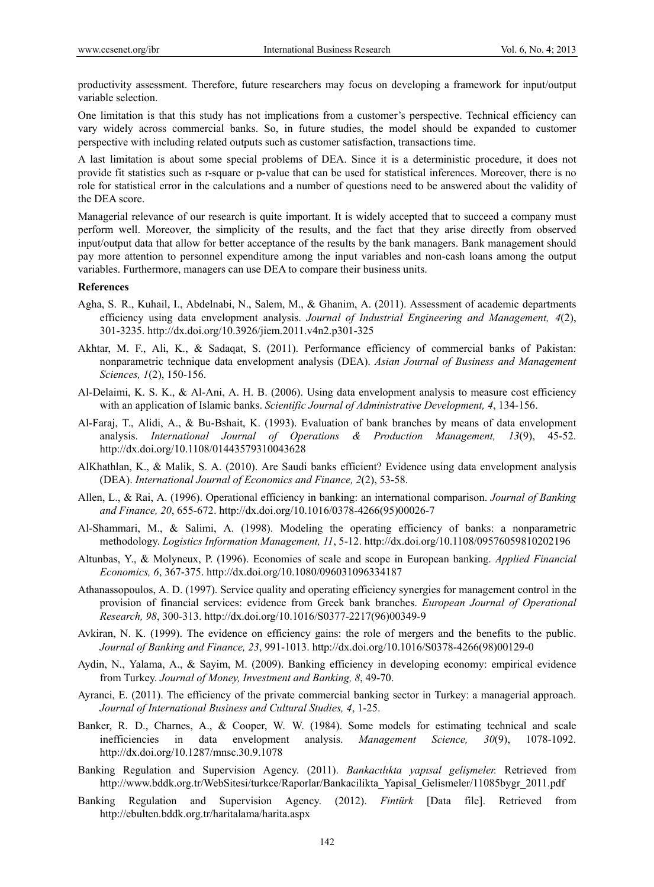productivity assessment. Therefore, future researchers may focus on developing a framework for input/output variable selection.

One limitation is that this study has not implications from a customer's perspective. Technical efficiency can vary widely across commercial banks. So, in future studies, the model should be expanded to customer perspective with including related outputs such as customer satisfaction, transactions time.

A last limitation is about some special problems of DEA. Since it is a deterministic procedure, it does not provide fit statistics such as r-square or p-value that can be used for statistical inferences. Moreover, there is no role for statistical error in the calculations and a number of questions need to be answered about the validity of the DEA score.

Managerial relevance of our research is quite important. It is widely accepted that to succeed a company must perform well. Moreover, the simplicity of the results, and the fact that they arise directly from observed input/output data that allow for better acceptance of the results by the bank managers. Bank management should pay more attention to personnel expenditure among the input variables and non-cash loans among the output variables. Furthermore, managers can use DEA to compare their business units.

#### **References**

- Agha, S. R., Kuhail, I., Abdelnabi, N., Salem, M., & Ghanim, A. (2011). Assessment of academic departments efficiency using data envelopment analysis. *Journal of Industrial Engineering and Management, 4*(2), 301-3235. http://dx.doi.org/10.3926/jiem.2011.v4n2.p301-325
- Akhtar, M. F., Ali, K., & Sadaqat, S. (2011). Performance efficiency of commercial banks of Pakistan: nonparametric technique data envelopment analysis (DEA). *Asian Journal of Business and Management Sciences, 1*(2), 150-156.
- Al-Delaimi, K. S. K., & Al-Ani, A. H. B. (2006). Using data envelopment analysis to measure cost efficiency with an application of Islamic banks. *Scientific Journal of Administrative Development, 4*, 134-156.
- Al-Faraj, T., Alidi, A., & Bu-Bshait, K. (1993). Evaluation of bank branches by means of data envelopment analysis. *International Journal of Operations & Production Management, 13*(9), 45-52. http://dx.doi.org/10.1108/01443579310043628
- AlKhathlan, K., & Malik, S. A. (2010). Are Saudi banks efficient? Evidence using data envelopment analysis (DEA). *International Journal of Economics and Finance, 2*(2), 53-58.
- Allen, L., & Rai, A. (1996). Operational efficiency in banking: an international comparison. *Journal of Banking and Finance, 20*, 655-672. http://dx.doi.org/10.1016/0378-4266(95)00026-7
- Al-Shammari, M., & Salimi, A. (1998). Modeling the operating efficiency of banks: a nonparametric methodology. *Logistics Information Management, 11*, 5-12. http://dx.doi.org/10.1108/09576059810202196
- Altunbas, Y., & Molyneux, P. (1996). Economies of scale and scope in European banking. *Applied Financial Economics, 6*, 367-375. http://dx.doi.org/10.1080/096031096334187
- Athanassopoulos, A. D. (1997). Service quality and operating efficiency synergies for management control in the provision of financial services: evidence from Greek bank branches. *European Journal of Operational Research, 98*, 300-313. http://dx.doi.org/10.1016/S0377-2217(96)00349-9
- Avkiran, N. K. (1999). The evidence on efficiency gains: the role of mergers and the benefits to the public. *Journal of Banking and Finance, 23*, 991-1013. http://dx.doi.org/10.1016/S0378-4266(98)00129-0
- Aydin, N., Yalama, A., & Sayim, M. (2009). Banking efficiency in developing economy: empirical evidence from Turkey. *Journal of Money, Investment and Banking, 8*, 49-70.
- Ayranci, E. (2011). The efficiency of the private commercial banking sector in Turkey: a managerial approach. *Journal of International Business and Cultural Studies, 4*, 1-25.
- Banker, R. D., Charnes, A., & Cooper, W. W. (1984). Some models for estimating technical and scale inefficiencies in data envelopment analysis. *Management Science, 30*(9), 1078-1092. http://dx.doi.org/10.1287/mnsc.30.9.1078
- Banking Regulation and Supervision Agency. (2011). *Bankacılıkta yapısal gelişmeler.* Retrieved from http://www.bddk.org.tr/WebSitesi/turkce/Raporlar/Bankacilikta\_Yapisal\_Gelismeler/11085bygr\_2011.pdf
- Banking Regulation and Supervision Agency. (2012). *Fintürk* [Data file]. Retrieved from http://ebulten.bddk.org.tr/haritalama/harita.aspx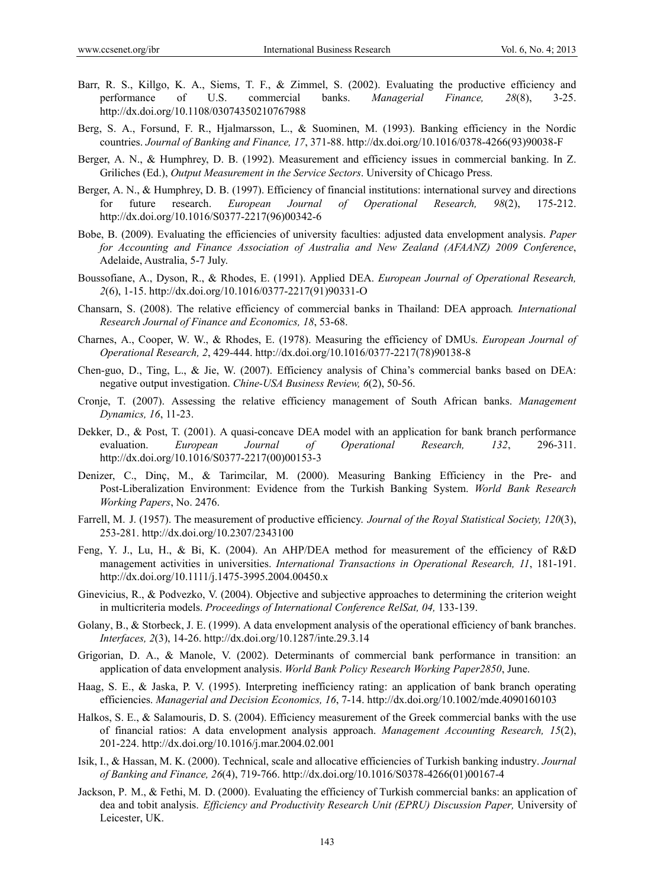- Barr, R. S., Killgo, K. A., Siems, T. F., & Zimmel, S. (2002). Evaluating the productive efficiency and performance of U.S. commercial banks. *Managerial Finance, 28*(8), 3-25. http://dx.doi.org/10.1108/03074350210767988
- Berg, S. A., Forsund, F. R., Hjalmarsson, L., & Suominen, M. (1993). Banking efficiency in the Nordic countries. *Journal of Banking and Finance, 17*, 371-88. http://dx.doi.org/10.1016/0378-4266(93)90038-F
- Berger, A. N., & Humphrey, D. B. (1992). Measurement and efficiency issues in commercial banking. In Z. Griliches (Ed.), *Output Measurement in the Service Sectors*. University of Chicago Press.
- Berger, A. N., & Humphrey, D. B. (1997). Efficiency of financial institutions: international survey and directions for future research. *European Journal of Operational Research, 98*(2), 175-212. http://dx.doi.org/10.1016/S0377-2217(96)00342-6
- Bobe, B. (2009). Evaluating the efficiencies of university faculties: adjusted data envelopment analysis. *Paper for Accounting and Finance Association of Australia and New Zealand (AFAANZ) 2009 Conference*, Adelaide, Australia, 5-7 July.
- Boussofiane, A., Dyson, R., & Rhodes, E. (1991). Applied DEA. *European Journal of Operational Research, 2*(6), 1-15. http://dx.doi.org/10.1016/0377-2217(91)90331-O
- Chansarn, S. (2008). The relative efficiency of commercial banks in Thailand: DEA approach*. International Research Journal of Finance and Economics, 18*, 53-68.
- Charnes, A., Cooper, W. W., & Rhodes, E. (1978). Measuring the efficiency of DMUs. *European Journal of Operational Research, 2*, 429-444. http://dx.doi.org/10.1016/0377-2217(78)90138-8
- Chen-guo, D., Ting, L., & Jie, W. (2007). Efficiency analysis of China's commercial banks based on DEA: negative output investigation. *Chine-USA Business Review, 6*(2), 50-56.
- Cronje, T. (2007). Assessing the relative efficiency management of South African banks. *Management Dynamics, 16*, 11-23.
- Dekker, D., & Post, T. (2001). A quasi-concave DEA model with an application for bank branch performance evaluation. *European Journal of Operational Research, 132*, 296-311. http://dx.doi.org/10.1016/S0377-2217(00)00153-3
- Denizer, C., Dinç, M., & Tarimcilar, M. (2000). Measuring Banking Efficiency in the Pre- and Post-Liberalization Environment: Evidence from the Turkish Banking System. *World Bank Research Working Papers*, No. 2476.
- Farrell, M. J. (1957). The measurement of productive efficiency. *Journal of the Royal Statistical Society, 120*(3), 253-281. http://dx.doi.org/10.2307/2343100
- Feng, Y. J., Lu, H., & Bi, K. (2004). An AHP/DEA method for measurement of the efficiency of R&D management activities in universities. *International Transactions in Operational Research, 11*, 181-191. http://dx.doi.org/10.1111/j.1475-3995.2004.00450.x
- Ginevicius, R., & Podvezko, V. (2004). Objective and subjective approaches to determining the criterion weight in multicriteria models. *Proceedings of International Conference RelSat, 04,* 133-139.
- Golany, B., & Storbeck, J. E. (1999). A data envelopment analysis of the operational efficiency of bank branches. *Interfaces, 2*(3), 14-26. http://dx.doi.org/10.1287/inte.29.3.14
- Grigorian, D. A., & Manole, V. (2002). Determinants of commercial bank performance in transition: an application of data envelopment analysis. *World Bank Policy Research Working Paper2850*, June.
- Haag, S. E., & Jaska, P. V. (1995). Interpreting inefficiency rating: an application of bank branch operating efficiencies. *Managerial and Decision Economics, 16*, 7-14. http://dx.doi.org/10.1002/mde.4090160103
- Halkos, S. E., & Salamouris, D. S. (2004). Efficiency measurement of the Greek commercial banks with the use of financial ratios: A data envelopment analysis approach. *Management Accounting Research, 15*(2), 201-224. http://dx.doi.org/10.1016/j.mar.2004.02.001
- Isik, I., & Hassan, M. K. (2000). Technical, scale and allocative efficiencies of Turkish banking industry. *Journal of Banking and Finance, 26*(4), 719-766. http://dx.doi.org/10.1016/S0378-4266(01)00167-4
- Jackson, P. M., & Fethi, M. D. (2000). Evaluating the efficiency of Turkish commercial banks: an application of dea and tobit analysis. *Efficiency and Productivity Research Unit (EPRU) Discussion Paper,* University of Leicester, UK.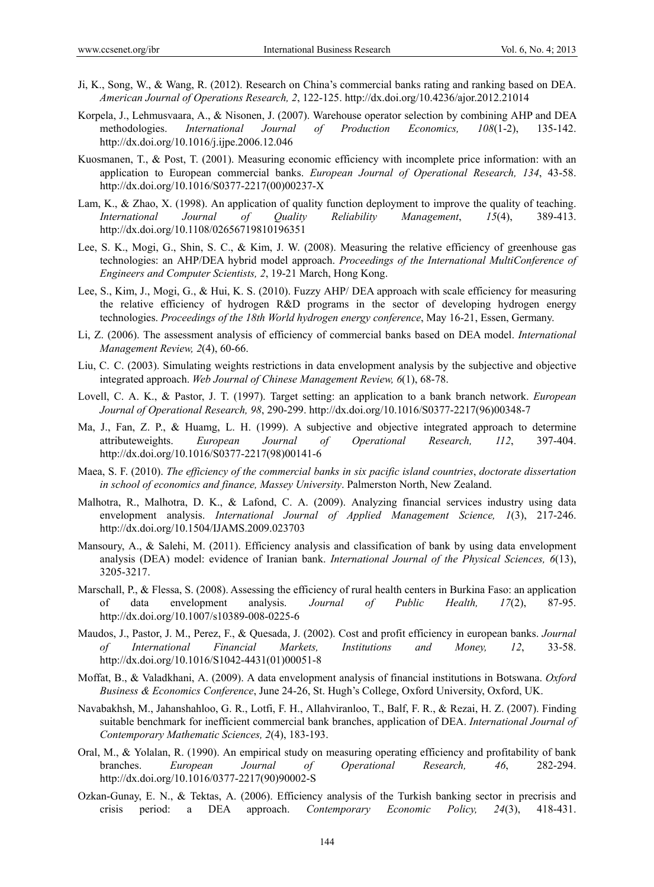- Ji, K., Song, W., & Wang, R. (2012). Research on China's commercial banks rating and ranking based on DEA. *American Journal of Operations Research, 2*, 122-125. http://dx.doi.org/10.4236/ajor.2012.21014
- Korpela, J., Lehmusvaara, A., & Nisonen, J. (2007). Warehouse operator selection by combining AHP and DEA methodologies. *International Journal of Production Economics, 108*(1-2), 135-142. http://dx.doi.org/10.1016/j.ijpe.2006.12.046
- Kuosmanen, T., & Post, T. (2001). Measuring economic efficiency with incomplete price information: with an application to European commercial banks. *European Journal of Operational Research, 134*, 43-58. http://dx.doi.org/10.1016/S0377-2217(00)00237-X
- Lam, K., & Zhao, X. (1998). An application of quality function deployment to improve the quality of teaching. *International Journal of Quality Reliability Management*, *15*(4), 389-413. http://dx.doi.org/10.1108/02656719810196351
- Lee, S. K., Mogi, G., Shin, S. C., & Kim, J. W. (2008). Measuring the relative efficiency of greenhouse gas technologies: an AHP/DEA hybrid model approach. *Proceedings of the International MultiConference of Engineers and Computer Scientists, 2*, 19-21 March, Hong Kong.
- Lee, S., Kim, J., Mogi, G., & Hui, K. S. (2010). Fuzzy AHP/ DEA approach with scale efficiency for measuring the relative efficiency of hydrogen R&D programs in the sector of developing hydrogen energy technologies. *Proceedings of the 18th World hydrogen energy conference*, May 16-21, Essen, Germany.
- Li, Z. (2006). The assessment analysis of efficiency of commercial banks based on DEA model. *International Management Review, 2*(4), 60-66.
- Liu, C. C. (2003). Simulating weights restrictions in data envelopment analysis by the subjective and objective integrated approach. *Web Journal of Chinese Management Review, 6*(1), 68-78.
- Lovell, C. A. K., & Pastor, J. T. (1997). Target setting: an application to a bank branch network. *European Journal of Operational Research, 98*, 290-299. http://dx.doi.org/10.1016/S0377-2217(96)00348-7
- Ma, J., Fan, Z. P., & Huamg, L. H. (1999). A subjective and objective integrated approach to determine attributeweights. *European Journal of Operational Research, 112*, 397-404. http://dx.doi.org/10.1016/S0377-2217(98)00141-6
- Maea, S. F. (2010). *The efficiency of the commercial banks in six pacific island countries*, *doctorate dissertation in school of economics and finance, Massey University*. Palmerston North, New Zealand.
- Malhotra, R., Malhotra, D. K., & Lafond, C. A. (2009). Analyzing financial services industry using data envelopment analysis. *International Journal of Applied Management Science, 1*(3), 217-246. http://dx.doi.org/10.1504/IJAMS.2009.023703
- Mansoury, A., & Salehi, M. (2011). Efficiency analysis and classification of bank by using data envelopment analysis (DEA) model: evidence of Iranian bank. *International Journal of the Physical Sciences, 6*(13), 3205-3217.
- Marschall, P., & Flessa, S. (2008). Assessing the efficiency of rural health centers in Burkina Faso: an application of data envelopment analysis. *Journal of Public Health, 17*(2), 87-95. http://dx.doi.org/10.1007/s10389-008-0225-6
- Maudos, J., Pastor, J. M., Perez, F., & Quesada, J. (2002). Cost and profit efficiency in european banks. *Journal of International Financial Markets, Institutions and Money, 12*, 33-58. http://dx.doi.org/10.1016/S1042-4431(01)00051-8
- Moffat, B., & Valadkhani, A. (2009). A data envelopment analysis of financial institutions in Botswana. *Oxford Business & Economics Conference*, June 24-26, St. Hugh's College, Oxford University, Oxford, UK.
- Navabakhsh, M., Jahanshahloo, G. R., Lotfi, F. H., Allahviranloo, T., Balf, F. R., & Rezai, H. Z. (2007). Finding suitable benchmark for inefficient commercial bank branches, application of DEA. *International Journal of Contemporary Mathematic Sciences, 2*(4), 183-193.
- Oral, M., & Yolalan, R. (1990). An empirical study on measuring operating efficiency and profitability of bank branches. *European Journal of Operational Research, 46*, 282-294. http://dx.doi.org/10.1016/0377-2217(90)90002-S
- Ozkan-Gunay, E. N., & Tektas, A. (2006). Efficiency analysis of the Turkish banking sector in precrisis and crisis period: a DEA approach. *Contemporary Economic Policy, 24*(3), 418-431.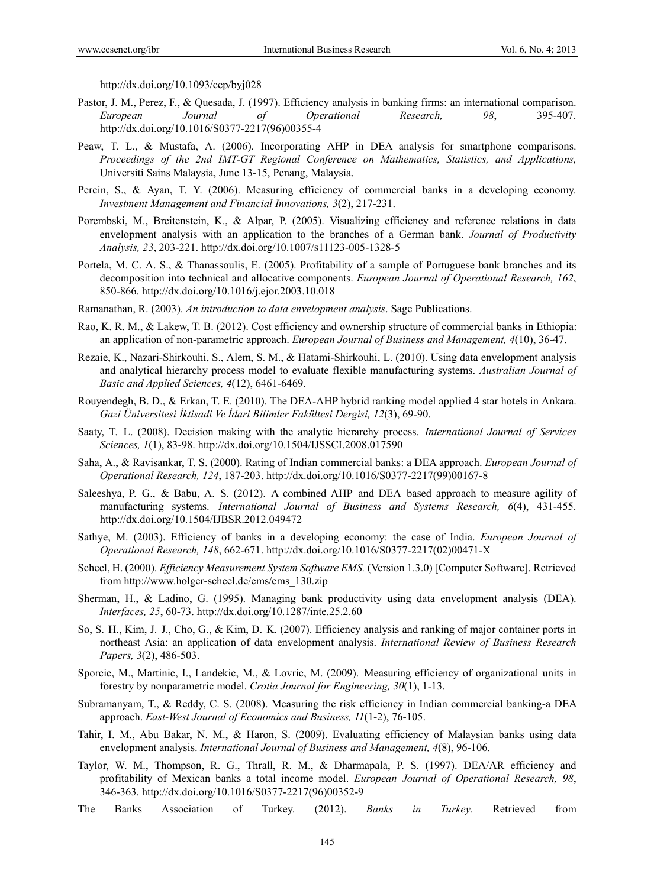http://dx.doi.org/10.1093/cep/byj028

- Pastor, J. M., Perez, F., & Quesada, J. (1997). Efficiency analysis in banking firms: an international comparison. *European Journal of Operational Research, 98*, 395-407. http://dx.doi.org/10.1016/S0377-2217(96)00355-4
- Peaw, T. L., & Mustafa, A. (2006). Incorporating AHP in DEA analysis for smartphone comparisons. *Proceedings of the 2nd IMT-GT Regional Conference on Mathematics, Statistics, and Applications,*  Universiti Sains Malaysia, June 13-15, Penang, Malaysia.
- Percin, S., & Ayan, T. Y. (2006). Measuring efficiency of commercial banks in a developing economy. *Investment Management and Financial Innovations, 3*(2), 217-231.
- Porembski, M., Breitenstein, K., & Alpar, P. (2005). Visualizing efficiency and reference relations in data envelopment analysis with an application to the branches of a German bank. *Journal of Productivity Analysis, 23*, 203-221. http://dx.doi.org/10.1007/s11123-005-1328-5
- Portela, M. C. A. S., & Thanassoulis, E. (2005). Profitability of a sample of Portuguese bank branches and its decomposition into technical and allocative components. *European Journal of Operational Research, 162*, 850-866. http://dx.doi.org/10.1016/j.ejor.2003.10.018
- Ramanathan, R. (2003). *An introduction to data envelopment analysis*. Sage Publications.
- Rao, K. R. M., & Lakew, T. B. (2012). Cost efficiency and ownership structure of commercial banks in Ethiopia: an application of non-parametric approach. *European Journal of Business and Management, 4*(10), 36-47.
- Rezaie, K., Nazari-Shirkouhi, S., Alem, S. M., & Hatami-Shirkouhi, L. (2010). Using data envelopment analysis and analytical hierarchy process model to evaluate flexible manufacturing systems. *Australian Journal of Basic and Applied Sciences, 4*(12), 6461-6469.
- Rouyendegh, B. D., & Erkan, T. E. (2010). The DEA-AHP hybrid ranking model applied 4 star hotels in Ankara. *Gazi Üniversitesi İktisadi Ve İdari Bilimler Fakültesi Dergisi, 12*(3), 69-90.
- Saaty, T. L. (2008). Decision making with the analytic hierarchy process. *International Journal of Services Sciences, 1*(1), 83-98. http://dx.doi.org/10.1504/IJSSCI.2008.017590
- Saha, A., & Ravisankar, T. S. (2000). Rating of Indian commercial banks: a DEA approach. *European Journal of Operational Research, 124*, 187-203. http://dx.doi.org/10.1016/S0377-2217(99)00167-8
- Saleeshya, P. G., & Babu, A. S. (2012). A combined AHP–and DEA–based approach to measure agility of manufacturing systems. *International Journal of Business and Systems Research, 6*(4), 431-455. http://dx.doi.org/10.1504/IJBSR.2012.049472
- Sathye, M. (2003). Efficiency of banks in a developing economy: the case of India. *European Journal of Operational Research, 148*, 662-671. http://dx.doi.org/10.1016/S0377-2217(02)00471-X
- Scheel, H. (2000). *Efficiency Measurement System Software EMS.* (Version 1.3.0) [Computer Software]. Retrieved from http://www.holger-scheel.de/ems/ems\_130.zip
- Sherman, H., & Ladino, G. (1995). Managing bank productivity using data envelopment analysis (DEA). *Interfaces, 25*, 60-73. http://dx.doi.org/10.1287/inte.25.2.60
- So, S. H., Kim, J. J., Cho, G., & Kim, D. K. (2007). Efficiency analysis and ranking of major container ports in northeast Asia: an application of data envelopment analysis. *International Review of Business Research Papers, 3*(2), 486-503.
- Sporcic, M., Martinic, I., Landekic, M., & Lovric, M. (2009). Measuring efficiency of organizational units in forestry by nonparametric model. *Crotia Journal for Engineering, 30*(1), 1-13.
- Subramanyam, T., & Reddy, C. S. (2008). Measuring the risk efficiency in Indian commercial banking-a DEA approach. *East-West Journal of Economics and Business, 11*(1-2), 76-105.
- Tahir, I. M., Abu Bakar, N. M., & Haron, S. (2009). Evaluating efficiency of Malaysian banks using data envelopment analysis. *International Journal of Business and Management, 4*(8), 96-106.
- Taylor, W. M., Thompson, R. G., Thrall, R. M., & Dharmapala, P. S. (1997). DEA/AR efficiency and profitability of Mexican banks a total income model. *European Journal of Operational Research, 98*, 346-363. http://dx.doi.org/10.1016/S0377-2217(96)00352-9
- The Banks Association of Turkey. (2012). *Banks in Turkey*. Retrieved from